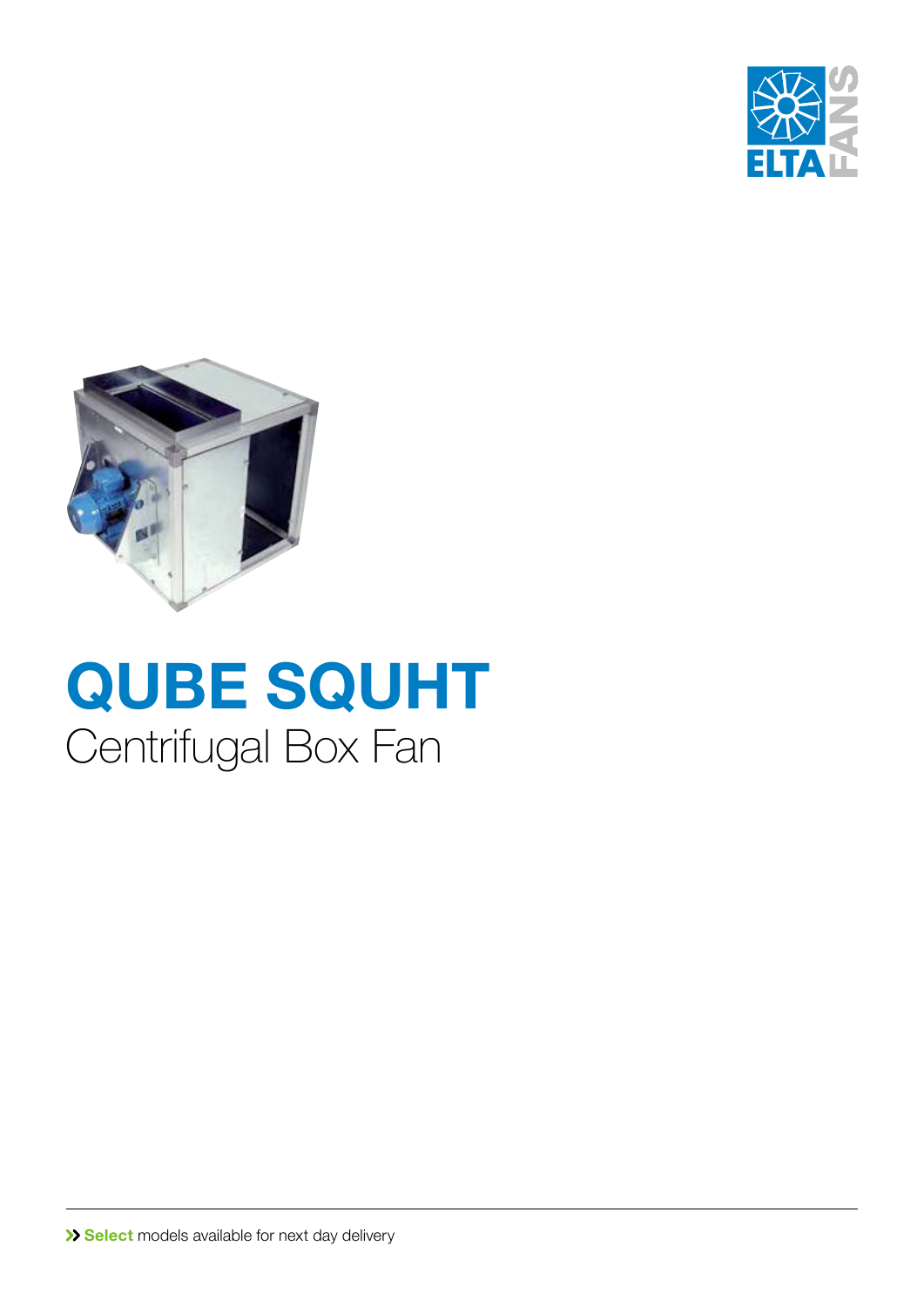



# **QUBE SQUHT** Centrifugal Box Fan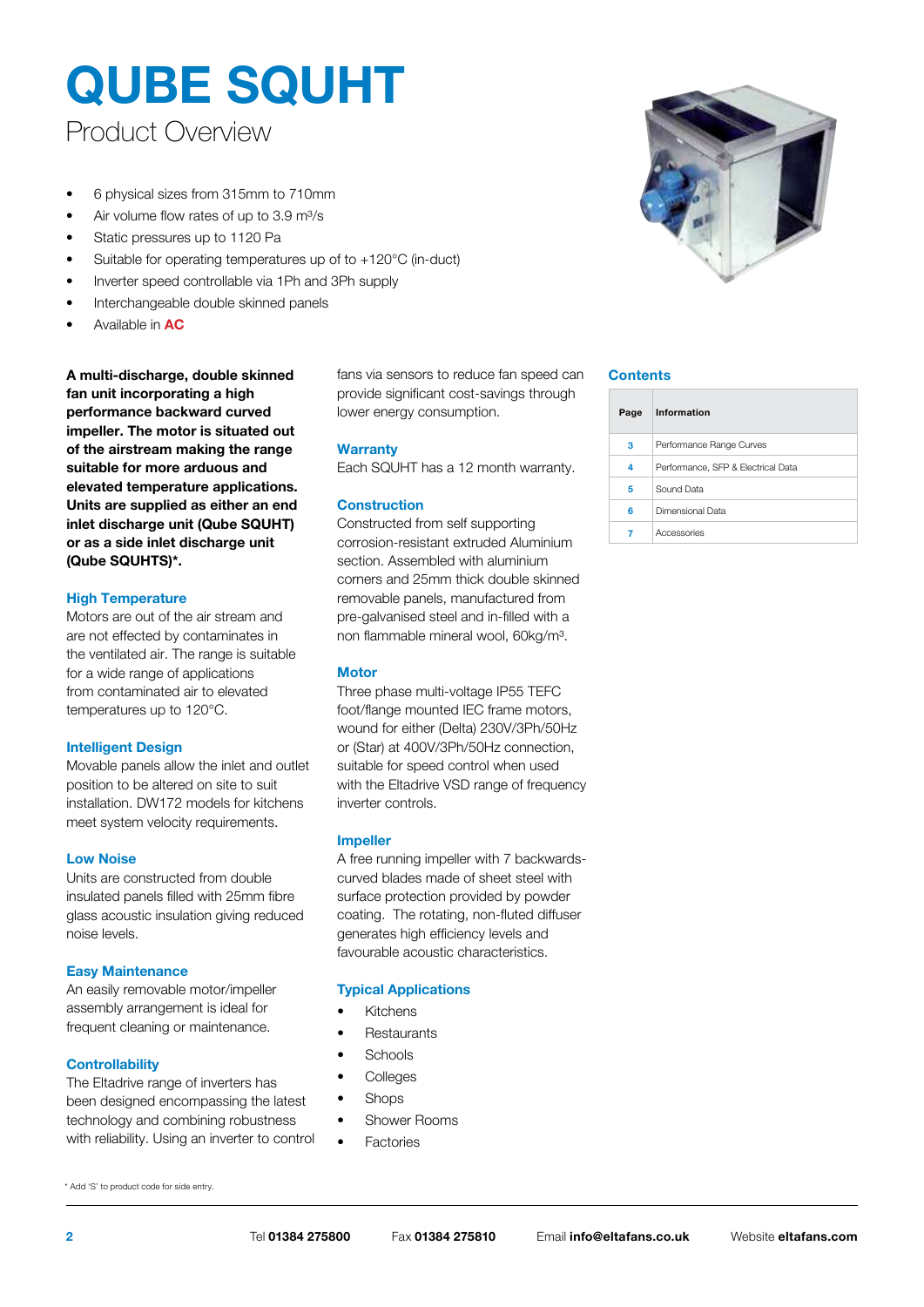### Product Overview

- 6 physical sizes from 315mm to 710mm
- Air volume flow rates of up to 3.9 m<sup>3</sup>/s
- Static pressures up to 1120 Pa
- Suitable for operating temperatures up of to +120°C (in-duct)
- Inverter speed controllable via 1Ph and 3Ph supply
- Interchangeable double skinned panels
- Available in **AC**

**A multi-discharge, double skinned fan unit incorporating a high performance backward curved impeller. The motor is situated out of the airstream making the range suitable for more arduous and elevated temperature applications. Units are supplied as either an end inlet discharge unit (Qube SQUHT) or as a side inlet discharge unit (Qube SQUHTS)\*.**

#### **High Temperature**

Motors are out of the air stream and are not effected by contaminates in the ventilated air. The range is suitable for a wide range of applications from contaminated air to elevated temperatures up to 120°C.

#### **Intelligent Design**

Movable panels allow the inlet and outlet position to be altered on site to suit installation. DW172 models for kitchens meet system velocity requirements.

#### **Low Noise**

Units are constructed from double insulated panels filled with 25mm fibre glass acoustic insulation giving reduced noise levels.

#### **Easy Maintenance**

An easily removable motor/impeller assembly arrangement is ideal for frequent cleaning or maintenance.

#### **Controllability**

\* Add 'S' to product code for side entry.

The Eltadrive range of inverters has been designed encompassing the latest technology and combining robustness with reliability. Using an inverter to control

fans via sensors to reduce fan speed can provide significant cost-savings through lower energy consumption.

#### **Warranty**

Each SQUHT has a 12 month warranty.

#### **Construction**

Constructed from self supporting corrosion-resistant extruded Aluminium section. Assembled with aluminium corners and 25mm thick double skinned removable panels, manufactured from pre-galvanised steel and in-filled with a non flammable mineral wool, 60kg/m³.

#### **Motor**

Three phase multi-voltage IP55 TEFC foot/flange mounted IEC frame motors, wound for either (Delta) 230V/3Ph/50Hz or (Star) at 400V/3Ph/50Hz connection, suitable for speed control when used with the Eltadrive VSD range of frequency inverter controls.

#### **Impeller**

A free running impeller with 7 backwardscurved blades made of sheet steel with surface protection provided by powder coating. The rotating, non-fluted diffuser generates high efficiency levels and favourable acoustic characteristics.

#### **Typical Applications**

- **Kitchens**
- **Restaurants**
- **Schools**
- **Colleges**
- Shops
- Shower Rooms
- **Factories**



#### **Contents**

| Page | Information                        |
|------|------------------------------------|
| 3    | Performance Range Curves           |
| 4    | Performance, SFP & Electrical Data |
| 5    | Sound Data                         |
| 6    | Dimensional Data                   |
|      | Accessories                        |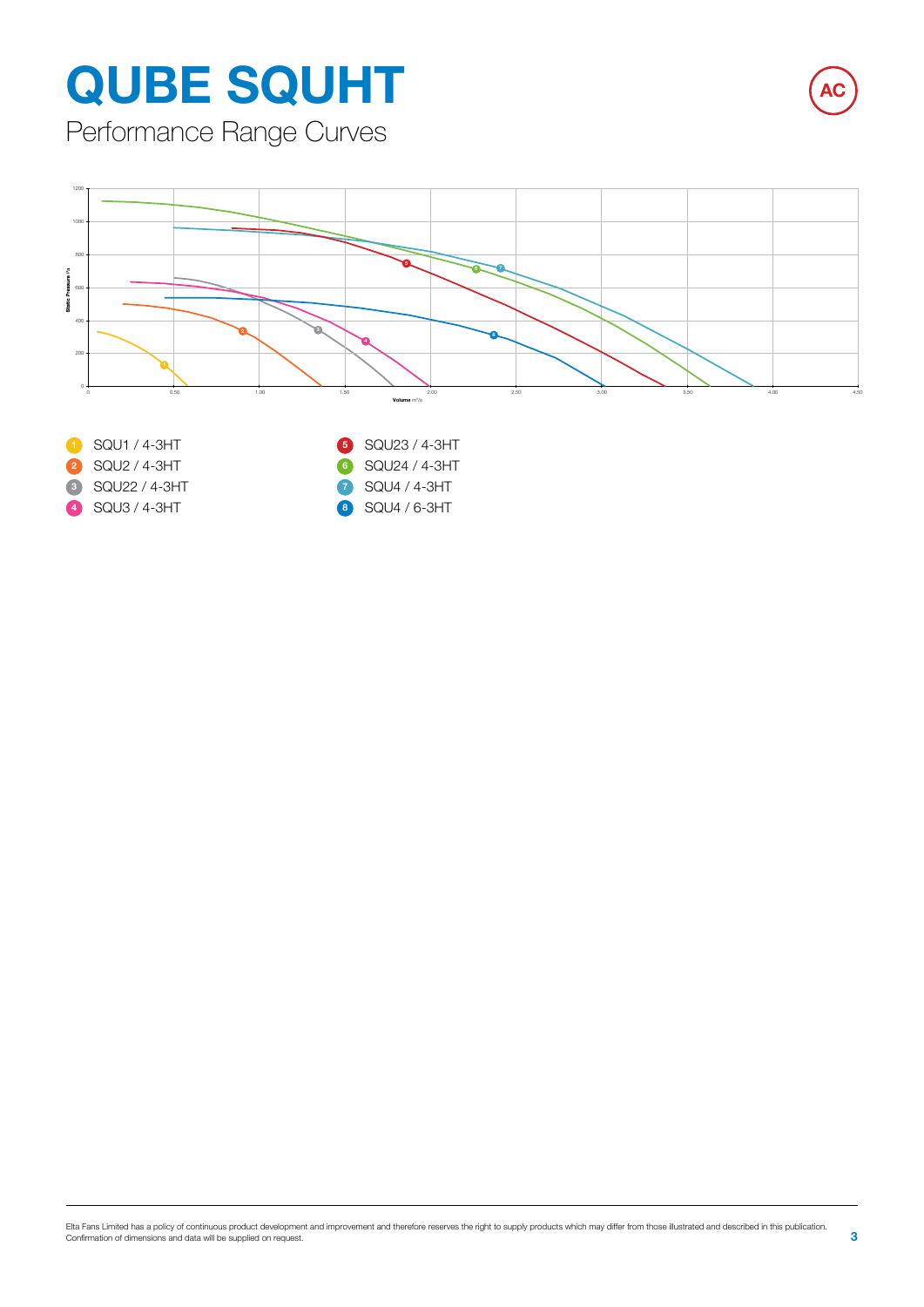Performance Range Curves

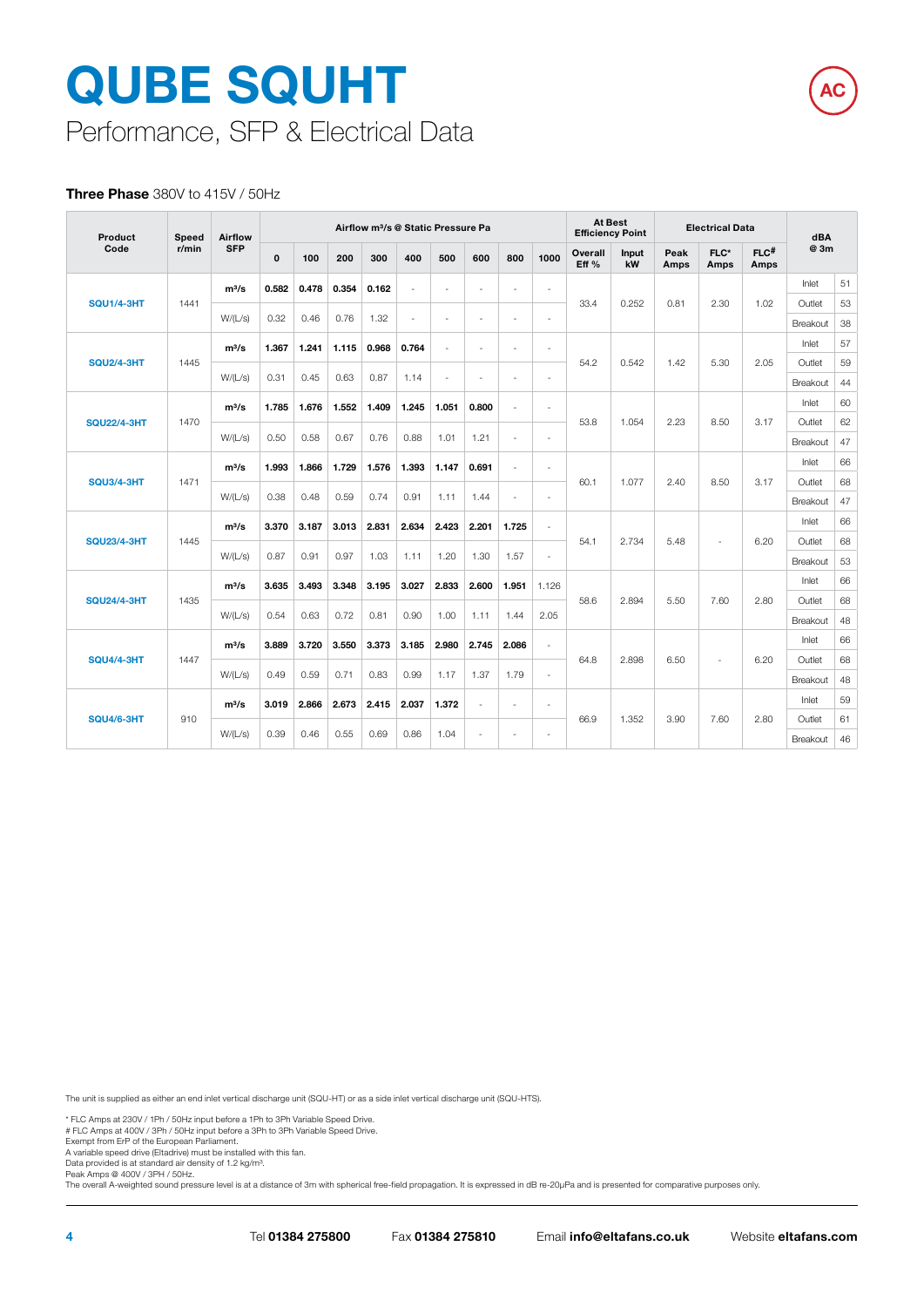# Performance, SFP & Electrical Data **QUBE SQUHT**

#### **Three Phase** 380V to 415V / 50Hz

| Product                    | Speed   | Airflow    |              |       |       | Airflow m <sup>3</sup> /s @ Static Pressure Pa |                |        |                          |                          |                              |                  | <b>At Best</b><br><b>Electrical Data</b><br><b>Efficiency Point</b> |              |                          | dBA                        |                    |          |
|----------------------------|---------|------------|--------------|-------|-------|------------------------------------------------|----------------|--------|--------------------------|--------------------------|------------------------------|------------------|---------------------------------------------------------------------|--------------|--------------------------|----------------------------|--------------------|----------|
| Code                       | r/min   | <b>SFP</b> | $\mathbf{0}$ | 100   | 200   | 300                                            | 400            | 500    | 600                      | 800                      | 1000                         | Overall<br>Eff % | <b>Input</b><br>kW                                                  | Peak<br>Amps | $FLC*$<br><b>Amps</b>    | $FLC$ <sup>#</sup><br>Amps | @ 3m               |          |
|                            |         | $m^3/s$    | 0.582        | 0.478 | 0.354 | 0.162                                          | $\overline{a}$ | ÷      | $\sim$                   | ä,                       | $\ddot{\phantom{1}}$         |                  |                                                                     |              |                          |                            | Inlet              | 51       |
| <b>SQU1/4-3HT</b>          | 1441    | W/(L/s)    | 0.32         | 0.46  | 0.76  | 1.32                                           | $\overline{a}$ | ÷,     |                          | ä,                       | L.                           | 33.4             | 0.252                                                               | 0.81         | 2.30                     | 1.02                       | Outlet             | 53       |
|                            |         |            |              |       |       |                                                |                |        |                          |                          |                              |                  |                                                                     |              |                          |                            | Breakout           | 38       |
|                            |         | $m^3/s$    | 1.367        | 1.241 | 1.115 | 0.968                                          | 0.764          | ÷      | $\overline{a}$           | $\ddot{\phantom{0}}$     | $\ddot{\phantom{1}}$         |                  |                                                                     |              |                          |                            | Inlet              | 57       |
| <b>SQU2/4-3HT</b>          | 1445    | W/(L/s)    | 0.31         | 0.45  | 0.63  | 0.87                                           | 1.14           | $\sim$ | $\sim$                   | $\ddot{\phantom{1}}$     | $\ddot{\phantom{1}}$         | 54.2             | 0.542                                                               | 1.42         | 5.30                     | 2.05                       | Outlet<br>Breakout | 59<br>44 |
|                            |         |            |              |       |       |                                                |                |        |                          |                          |                              |                  |                                                                     |              |                          |                            | Inlet              | 60       |
| <b>SQU22/4-3HT</b><br>1470 | $m^3/s$ | 1.785      | 1.676        | 1.552 | 1.409 | 1.245                                          | 1.051          | 0.800  | L.                       | $\ddot{\phantom{1}}$     | 53.8                         | 1.054            | 2.23                                                                | 8.50         | 3.17                     | Outlet                     | 62                 |          |
|                            | W/(L/s) | 0.50       | 0.58         | 0.67  | 0.76  | 0.88                                           | 1.01           | 1.21   | ä,                       | ä,                       |                              |                  |                                                                     |              |                          | Breakout                   | 47                 |          |
|                            | $m^3/s$ | 1.993      | 1.866        | 1.729 | 1.576 | 1.393                                          | 1.147          | 0.691  | $\overline{\phantom{a}}$ | $\ddot{\phantom{1}}$     |                              |                  |                                                                     |              |                          | Inlet                      | 66                 |          |
| <b>SQU3/4-3HT</b>          | 1471    |            |              |       |       |                                                |                |        |                          |                          |                              | 60.1             | 1.077                                                               | 2.40         | 8.50                     | 3.17                       | Outlet             | 68       |
|                            |         | W/(L/s)    | 0.38         | 0.48  | 0.59  | 0.74                                           | 0.91           | 1.11   | 1.44                     | ÷.                       | ä,                           |                  |                                                                     |              |                          |                            | Breakout           | 47       |
|                            |         | $m^3/s$    | 3.370        | 3.187 | 3.013 | 2.831                                          | 2.634          | 2.423  | 2.201                    | 1.725                    | $\sim$                       | 54.1<br>2.734    |                                                                     |              |                          | 6.20                       | Inlet              | 66       |
| <b>SQU23/4-3HT</b>         | 1445    |            |              |       |       |                                                |                |        |                          |                          |                              |                  |                                                                     | 5.48         | $\overline{\phantom{a}}$ |                            | Outlet             | 68       |
|                            |         | W/(L/s)    | 0.87         | 0.91  | 0.97  | 1.03                                           | 1.11           | 1.20   | 1.30                     | 1.57                     | ä,                           |                  |                                                                     |              |                          |                            | Breakout           | 53       |
|                            |         | $m^3/s$    | 3.635        | 3.493 | 3.348 | 3.195                                          | 3.027          | 2.833  | 2.600                    | 1.951                    | 1.126                        |                  |                                                                     |              |                          |                            | Inlet              | 66       |
| <b>SQU24/4-3HT</b>         | 1435    | W/(L/s)    | 0.54         | 0.63  | 0.72  | 0.81                                           | 0.90           | 1.00   | 1.11                     | 1.44                     | 2.05                         | 58.6             | 2.894                                                               | 5.50         | 7.60                     | 2.80                       | Outlet             | 68       |
|                            |         |            |              |       |       |                                                |                |        |                          |                          |                              |                  |                                                                     |              |                          |                            | Breakout<br>Inlet  | 48<br>66 |
| <b>SQU4/4-3HT</b>          | 1447    | $m^3/s$    | 3.889        | 3.720 | 3.550 | 3.373                                          | 3.185          | 2.980  | 2.745                    | 2.086                    | $\ddot{\phantom{1}}$         | 64.8             | 2.898                                                               | 6.50         | ٠                        | 6.20                       | Outlet             | 68       |
|                            |         | W/(L/s)    | 0.49         | 0.59  | 0.71  | 0.83                                           | 0.99           | 1.17   | 1.37                     | 1.79                     | $\ddot{\phantom{1}}$         |                  |                                                                     |              |                          |                            | Breakout           | 48       |
|                            |         | $m^3/s$    | 3.019        | 2.866 | 2.673 | 2.415                                          | 2.037          | 1.372  | $\sim$                   | $\overline{\phantom{a}}$ | $\ddot{\phantom{1}}$<br>66.9 |                  |                                                                     |              |                          | Inlet                      | 59                 |          |
| <b>SQU4/6-3HT</b>          | 910     |            |              |       |       |                                                |                |        |                          |                          |                              | 1.352            | 3.90<br>7.60                                                        | 2.80         | Outlet                   | 61                         |                    |          |
|                            |         | W/(L/s)    | 0.39         | 0.46  | 0.55  | 0.69                                           | 0.86           | 1.04   | $\sim$                   | $\overline{\phantom{a}}$ | $\sim$                       |                  |                                                                     |              |                          | Breakout                   | 46                 |          |

**AC**

The unit is supplied as either an end inlet vertical discharge unit (SQU-HT) or as a side inlet vertical discharge unit (SQU-HTS).

\* FLC Amps at 230V / 1Ph / 50Hz input before a 1Ph to 3Ph Variable Speed Drive. # FLC Amps at 400V / 3Ph / 50Hz input before a 3Ph to 3Ph Variable Speed Drive.

Exempt from ErP of the European Parliament.

A variable speed drive (Eltadrive) must be installed with this fan. Data provided is at standard air density of 1.2 kg/m³.

Peak Amps @ 400V / 3PH / 50Hz.

The overall A-weighted sound pressure level is at a distance of 3m with spherical free-field propagation. It is expressed in dB re-20μPa and is presented for comparative purposes only.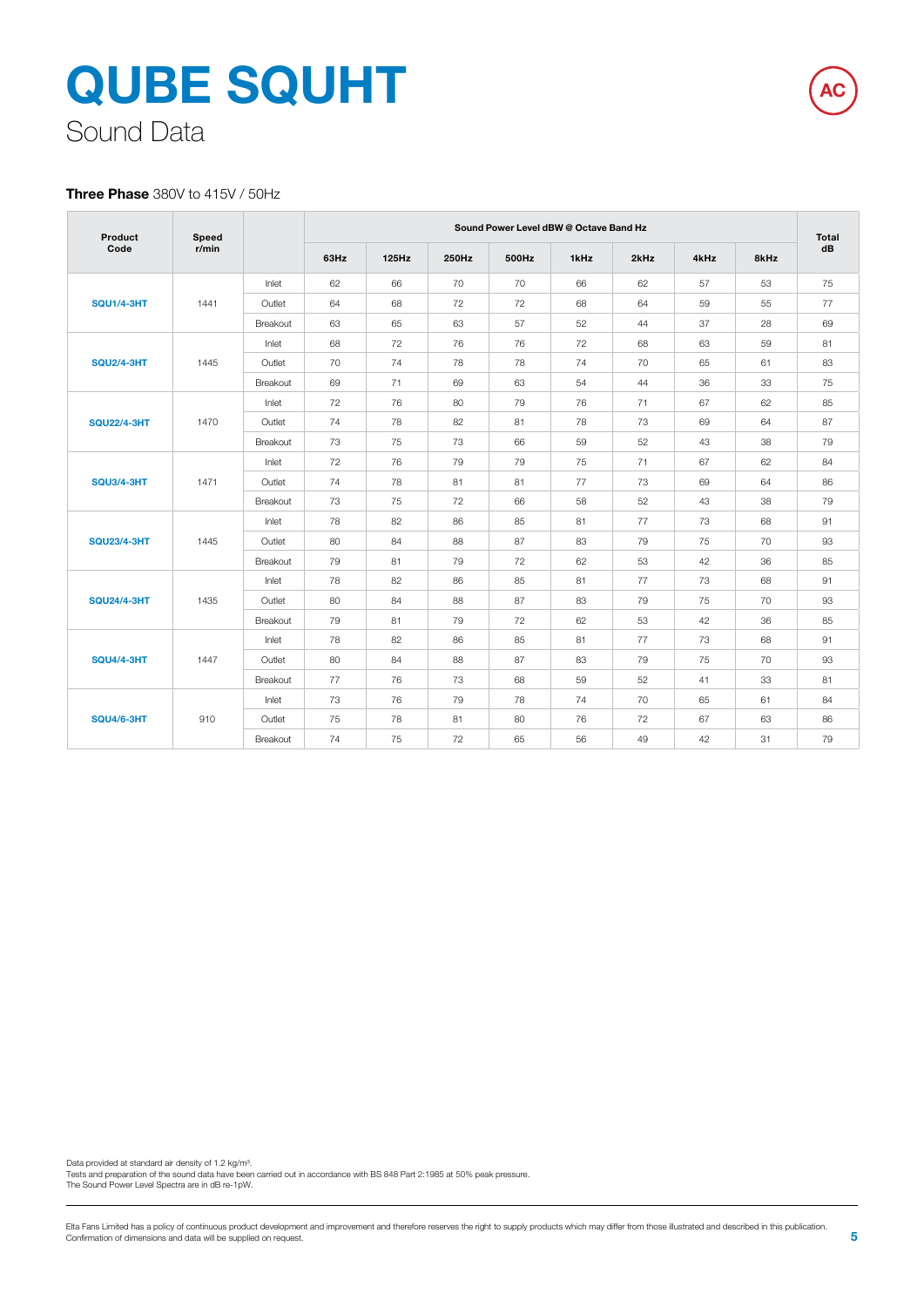# **QUBE SQUHT** Sound Data

#### **Three Phase** 380V to 415V / 50Hz

| Product            | Speed |                 |      |       |       | Sound Power Level dBW @ Octave Band Hz |      |      |      |      | Total |
|--------------------|-------|-----------------|------|-------|-------|----------------------------------------|------|------|------|------|-------|
| Code               | r/min |                 | 63Hz | 125Hz | 250Hz | 500Hz                                  | 1kHz | 2kHz | 4kHz | 8kHz | dB    |
|                    |       | Inlet           | 62   | 66    | 70    | 70                                     | 66   | 62   | 57   | 53   | 75    |
| <b>SQU1/4-3HT</b>  | 1441  | Outlet          | 64   | 68    | 72    | 72                                     | 68   | 64   | 59   | 55   | 77    |
|                    |       | <b>Breakout</b> | 63   | 65    | 63    | 57                                     | 52   | 44   | 37   | 28   | 69    |
|                    |       | Inlet           | 68   | 72    | 76    | 76                                     | 72   | 68   | 63   | 59   | 81    |
| <b>SQU2/4-3HT</b>  | 1445  | Outlet          | 70   | 74    | 78    | 78                                     | 74   | 70   | 65   | 61   | 83    |
|                    |       | Breakout        | 69   | 71    | 69    | 63                                     | 54   | 44   | 36   | 33   | 75    |
|                    |       | Inlet           | 72   | 76    | 80    | 79                                     | 76   | 71   | 67   | 62   | 85    |
| <b>SQU22/4-3HT</b> | 1470  | Outlet          | 74   | 78    | 82    | 81                                     | 78   | 73   | 69   | 64   | 87    |
|                    |       | Breakout        | 73   | 75    | 73    | 66                                     | 59   | 52   | 43   | 38   | 79    |
|                    | 1471  | Inlet           | 72   | 76    | 79    | 79                                     | 75   | 71   | 67   | 62   | 84    |
| <b>SQU3/4-3HT</b>  |       | Outlet          | 74   | 78    | 81    | 81                                     | 77   | 73   | 69   | 64   | 86    |
|                    |       | Breakout        | 73   | 75    | 72    | 66                                     | 58   | 52   | 43   | 38   | 79    |
|                    |       | Inlet           | 78   | 82    | 86    | 85                                     | 81   | 77   | 73   | 68   | 91    |
| <b>SQU23/4-3HT</b> | 1445  | Outlet          | 80   | 84    | 88    | 87                                     | 83   | 79   | 75   | 70   | 93    |
|                    |       | Breakout        | 79   | 81    | 79    | 72                                     | 62   | 53   | 42   | 36   | 85    |
|                    |       | Inlet           | 78   | 82    | 86    | 85                                     | 81   | 77   | 73   | 68   | 91    |
| <b>SQU24/4-3HT</b> | 1435  | Outlet          | 80   | 84    | 88    | 87                                     | 83   | 79   | 75   | 70   | 93    |
|                    |       | Breakout        | 79   | 81    | 79    | 72                                     | 62   | 53   | 42   | 36   | 85    |
|                    |       | Inlet           | 78   | 82    | 86    | 85                                     | 81   | 77   | 73   | 68   | 91    |
| <b>SQU4/4-3HT</b>  | 1447  | Outlet          | 80   | 84    | 88    | 87                                     | 83   | 79   | 75   | 70   | 93    |
|                    |       | Breakout        | 77   | 76    | 73    | 68                                     | 59   | 52   | 41   | 33   | 81    |
|                    |       | Inlet           | 73   | 76    | 79    | 78                                     | 74   | 70   | 65   | 61   | 84    |
| <b>SQU4/6-3HT</b>  | 910   | Outlet          | 75   | 78    | 81    | 80                                     | 76   | 72   | 67   | 63   | 86    |
|                    |       | Breakout        | 74   | 75    | 72    | 65                                     | 56   | 49   | 42   | 31   | 79    |

Data provided at standard air density of 1.2 kg/m<sup>3</sup>.

Tests and preparation of the sound data have been carried out in accordance with BS 848 Part 2:1985 at 50% peak pressure. The Sound Power Level Spectra are in dB re-1pW.

**AC**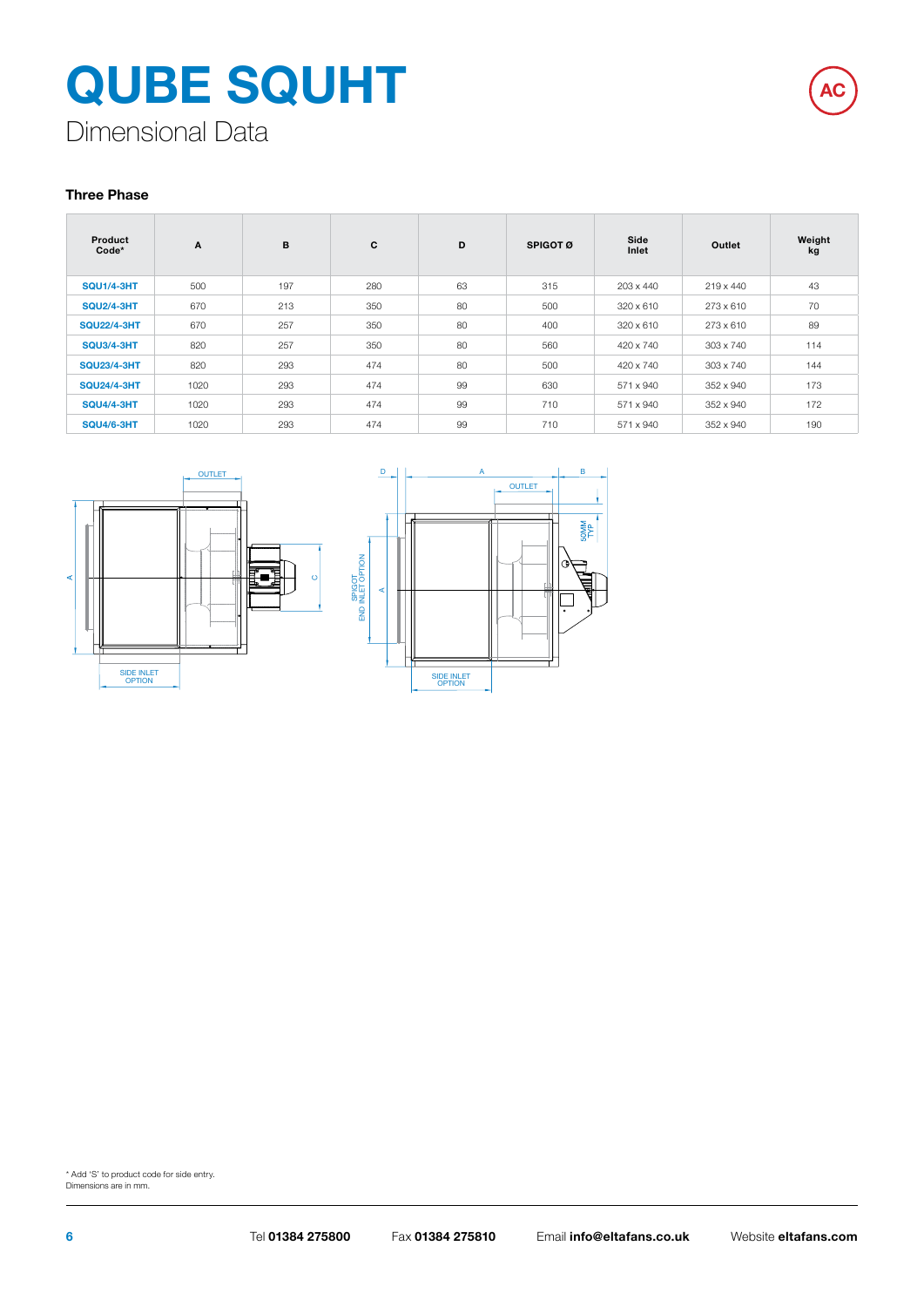

Dimensional Data

#### **Three Phase**

| Product<br>Code*   | A    | B   | C   | D  | SPIGOT Ø | Side<br>Inlet | Outlet    | Weight<br>kg |
|--------------------|------|-----|-----|----|----------|---------------|-----------|--------------|
| <b>SQU1/4-3HT</b>  | 500  | 197 | 280 | 63 | 315      | 203 x 440     | 219 x 440 | 43           |
| <b>SQU2/4-3HT</b>  | 670  | 213 | 350 | 80 | 500      | 320 x 610     | 273 x 610 | 70           |
| <b>SQU22/4-3HT</b> | 670  | 257 | 350 | 80 | 400      | 320 x 610     | 273 x 610 | 89           |
| <b>SQU3/4-3HT</b>  | 820  | 257 | 350 | 80 | 560      | 420 x 740     | 303 x 740 | 114          |
| <b>SQU23/4-3HT</b> | 820  | 293 | 474 | 80 | 500      | 420 x 740     | 303 x 740 | 144          |
| <b>SQU24/4-3HT</b> | 1020 | 293 | 474 | 99 | 630      | 571 x 940     | 352 x 940 | 173          |
| <b>SQU4/4-3HT</b>  | 1020 | 293 | 474 | 99 | 710      | 571 x 940     | 352 x 940 | 172          |
| <b>SQU4/6-3HT</b>  | 1020 | 293 | 474 | 99 | 710      | 571 x 940     | 352 x 940 | 190          |





\* Add 'S' to product code for side entry. Dimensions are in mm.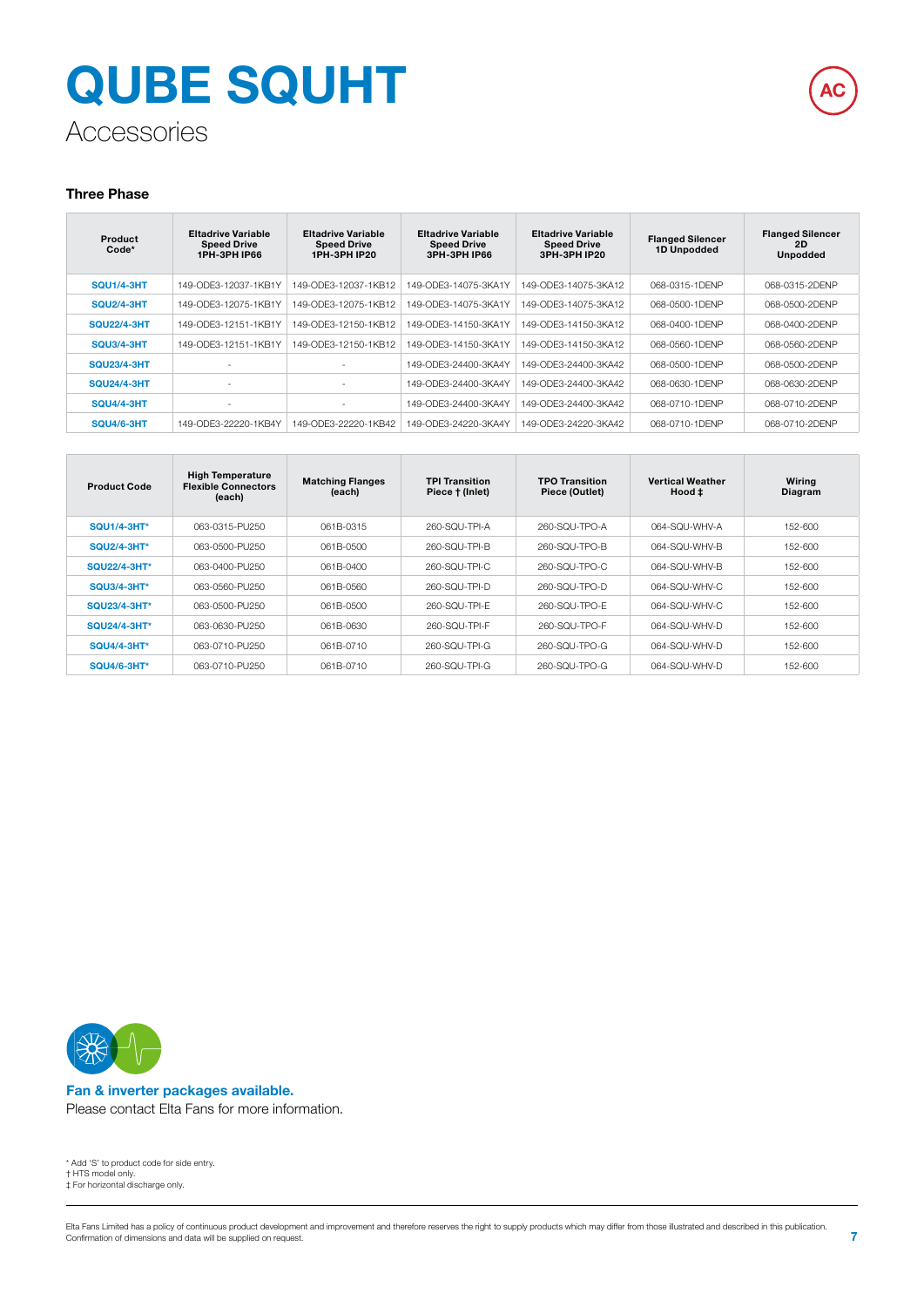

### Accessories

#### **Three Phase**

| Product<br>$Code*$ | <b>Eltadrive Variable</b><br><b>Speed Drive</b><br><b>1PH-3PH IP66</b> | <b>Eltadrive Variable</b><br><b>Speed Drive</b><br><b>1PH-3PH IP20</b> | <b>Eltadrive Variable</b><br><b>Speed Drive</b><br><b>3PH-3PH IP66</b> | <b>Eltadrive Variable</b><br><b>Speed Drive</b><br>3PH-3PH IP20 | <b>Flanged Silencer</b><br>1D Unpodded | <b>Flanged Silencer</b><br>2D<br><b>Unpodded</b> |
|--------------------|------------------------------------------------------------------------|------------------------------------------------------------------------|------------------------------------------------------------------------|-----------------------------------------------------------------|----------------------------------------|--------------------------------------------------|
| <b>SOU1/4-3HT</b>  | 149-ODE3-12037-1KB1Y                                                   | 149-ODE3-12037-1KB12                                                   | 49-ODE3-14075-3KA1Y                                                    | 149-ODE3-14075-3KA12                                            | 068-0315-1DENP                         | 068-0315-2DENP                                   |
| <b>SQU2/4-3HT</b>  | 149-ODE3-12075-1KB1Y                                                   | 149-ODE3-12075-1KB12                                                   | 149-ODE3-14075-3KA1Y                                                   | 149-ODE3-14075-3KA12                                            | 068-0500-1DENP                         | 068-0500-2DENP                                   |
| <b>SQU22/4-3HT</b> | 149-ODE3-12151-1KB1Y                                                   | 149-ODE3-12150-1KB12                                                   | 149-ODE3-14150-3KA1Y                                                   | 149-ODE3-14150-3KA12                                            | 068-0400-1DENP                         | 068-0400-2DENP                                   |
| <b>SQU3/4-3HT</b>  | 149-ODE3-12151-1KB1Y                                                   | 149-ODE3-12150-1KB12                                                   | 149-ODE3-14150-3KA1Y                                                   | 149-ODE3-14150-3KA12                                            | 068-0560-1DENP                         | 068-0560-2DENP                                   |
| <b>SQU23/4-3HT</b> | $\sim$                                                                 | $\blacksquare$                                                         | 149-ODE3-24400-3KA4Y                                                   | 149-ODE3-24400-3KA42                                            | 068-0500-1DENP                         | 068-0500-2DENP                                   |
| <b>SQU24/4-3HT</b> | $\overline{\phantom{a}}$                                               | $\sim$                                                                 | 149-ODE3-24400-3KA4Y                                                   | 149-ODE3-24400-3KA42                                            | 068-0630-1DENP                         | 068-0630-2DENP                                   |
| <b>SQU4/4-3HT</b>  | ٠                                                                      | $\blacksquare$                                                         | 149-ODE3-24400-3KA4Y                                                   | 149-ODE3-24400-3KA42                                            | 068-0710-1DFNP                         | 068-0710-2DENP                                   |
| <b>SQU4/6-3HT</b>  | 149-ODE3-22220-1KB4Y                                                   | 149-ODE3-22220-1KB42                                                   | 149-ODE3-24220-3KA4Y                                                   | 149-ODE3-24220-3KA42                                            | 068-0710-1DFNP                         | 068-0710-2DENP                                   |

| <b>Product Code</b> | <b>High Temperature</b><br><b>Flexible Connectors</b><br>(each) | <b>Matching Flanges</b><br>(each) | <b>TPI Transition</b><br>Piece † (Inlet) | <b>TPO Transition</b><br>Piece (Outlet) | <b>Vertical Weather</b><br>Hood ± | Wiring<br>Diagram |
|---------------------|-----------------------------------------------------------------|-----------------------------------|------------------------------------------|-----------------------------------------|-----------------------------------|-------------------|
| <b>SQU1/4-3HT*</b>  | 063-0315-PU250                                                  | 061B-0315                         | 260-SOU-TPI-A                            | 260-SQU-TPO-A                           | 064-SOU-WHV-A                     | 152-600           |
| <b>SQU2/4-3HT*</b>  | 063-0500-PU250                                                  | 061B-0500                         | 260-SQU-TPI-B                            | 260-SQU-TPO-B                           | 064-SOU-WHV-B                     | 152-600           |
| <b>SQU22/4-3HT*</b> | 063-0400-PU250                                                  | 061B-0400                         | 260-SQU-TPI-C                            | 260-SQU-TPO-C                           | 064-SOU-WHV-B                     | 152-600           |
| <b>SQU3/4-3HT*</b>  | 063-0560-PU250                                                  | 061B-0560                         | 260-SQU-TPI-D                            | 260-SQU-TPO-D                           | 064-SQU-WHV-C                     | 152-600           |
| <b>SQU23/4-3HT*</b> | 063-0500-PU250                                                  | 061B-0500                         | 260-SOU-TPI-F                            | 260-SQU-TPO-F                           | 064-SQU-WHV-C                     | 152-600           |
| SQU24/4-3HT*        | 063-0630-PU250                                                  | 061B-0630                         | 260-SOU-TPI-F                            | 260-SQU-TPO-F                           | 064-SOU-WHV-D                     | 152-600           |
| <b>SQU4/4-3HT*</b>  | 063-0710-PU250                                                  | 061B-0710                         | 260-SQU-TPI-G                            | 260-SQU-TPO-G                           | 064-SOU-WHV-D                     | 152-600           |
| <b>SQU4/6-3HT*</b>  | 063-0710-PU250                                                  | 061B-0710                         | 260-SQU-TPI-G                            | 260-SQU-TPO-G                           | 064-SQU-WHV-D                     | 152-600           |



#### **Fan & inverter packages available.**  Please contact Elta Fans for more information.

\* Add 'S' to product code for side entry. † HTS model only. ‡ For horizontal discharge only.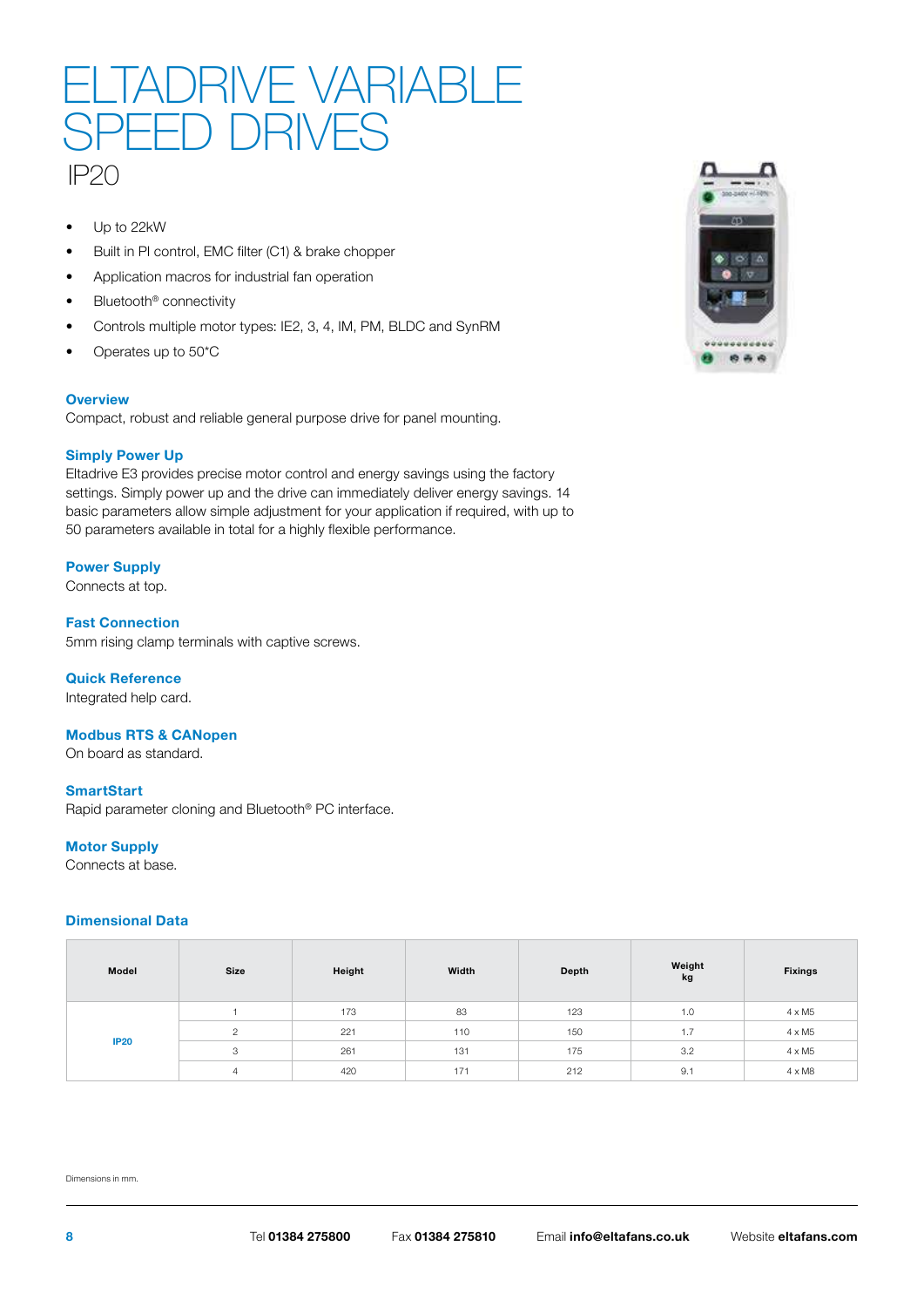## IP20 LIADRIVE VARIABL SPEED DRIVES

- Up to 22kW
- Built in PI control, EMC filter (C1) & brake chopper
- Application macros for industrial fan operation
- Bluetooth<sup>®</sup> connectivity
- Controls multiple motor types: IE2, 3, 4, IM, PM, BLDC and SynRM
- Operates up to 50\*C

#### **Overview**

Compact, robust and reliable general purpose drive for panel mounting.

#### **Simply Power Up**

Eltadrive E3 provides precise motor control and energy savings using the factory settings. Simply power up and the drive can immediately deliver energy savings. 14 basic parameters allow simple adjustment for your application if required, with up to 50 parameters available in total for a highly flexible performance.

#### **Power Supply**

Connects at top.

**Fast Connection** 5mm rising clamp terminals with captive screws.

#### **Quick Reference**

Integrated help card.

#### **Modbus RTS & CANopen**

On board as standard.

#### **SmartStart**

Rapid parameter cloning and Bluetooth® PC interface.

#### **Motor Supply**

Connects at base.

#### **Dimensional Data**

| Model       | Size         | Height | Width | Depth | Weight<br>kg         | <b>Fixings</b> |
|-------------|--------------|--------|-------|-------|----------------------|----------------|
|             |              | 173    | 83    | 123   | 1.0                  | $4 \times M5$  |
|             | C            | 221    | 110   | 150   | $\rightarrow$<br>1.1 | $4 \times M5$  |
| <b>IP20</b> | $\circ$<br>ت | 261    | 131   | 175   | 3.2                  | $4 \times M5$  |
|             | 4            | 420    | 171   | 212   | 9.1                  | $4 \times M8$  |

Dimensions in mm.

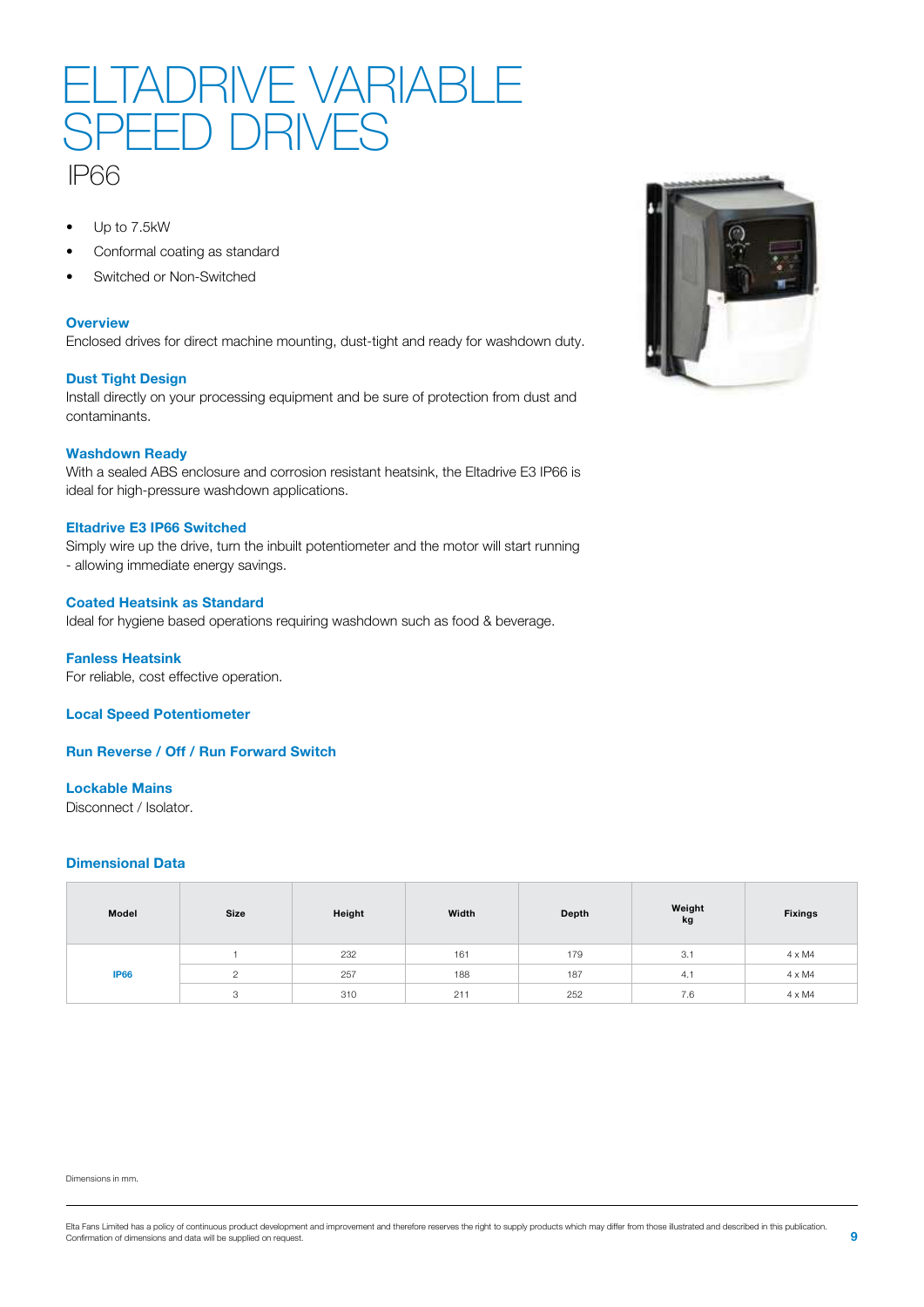

- Up to 7.5kW
- Conformal coating as standard
- Switched or Non-Switched

#### **Overview**

Enclosed drives for direct machine mounting, dust-tight and ready for washdown duty.

#### **Dust Tight Design**

Install directly on your processing equipment and be sure of protection from dust and contaminants.

#### **Washdown Ready**

With a sealed ABS enclosure and corrosion resistant heatsink, the Eltadrive E3 IP66 is ideal for high-pressure washdown applications.

#### **Eltadrive E3 IP66 Switched**

Simply wire up the drive, turn the inbuilt potentiometer and the motor will start running - allowing immediate energy savings.

#### **Coated Heatsink as Standard**

Ideal for hygiene based operations requiring washdown such as food & beverage.

**Fanless Heatsink** For reliable, cost effective operation.

**Local Speed Potentiometer**

**Run Reverse / Off / Run Forward Switch**

#### **Lockable Mains**

Disconnect / Isolator.

#### **Dimensional Data**

| Model       | Size | Height | Width | Depth | Weight<br>kg | <b>Fixings</b> |
|-------------|------|--------|-------|-------|--------------|----------------|
| <b>IP66</b> |      | 232    | 161   | 179   | 3.1          | $4 \times M4$  |
|             |      | 257    | 188   | 187   | 4.1          | $4 \times M4$  |
|             | o    | 310    | 211   | 252   | 7.6          | $4 \times M4$  |





Elta Fans Limited has a policy of continuous product development and improvement and therefore reserves the right to supply products which may differ from those illustrated and described in this publication.<br>Confirmation o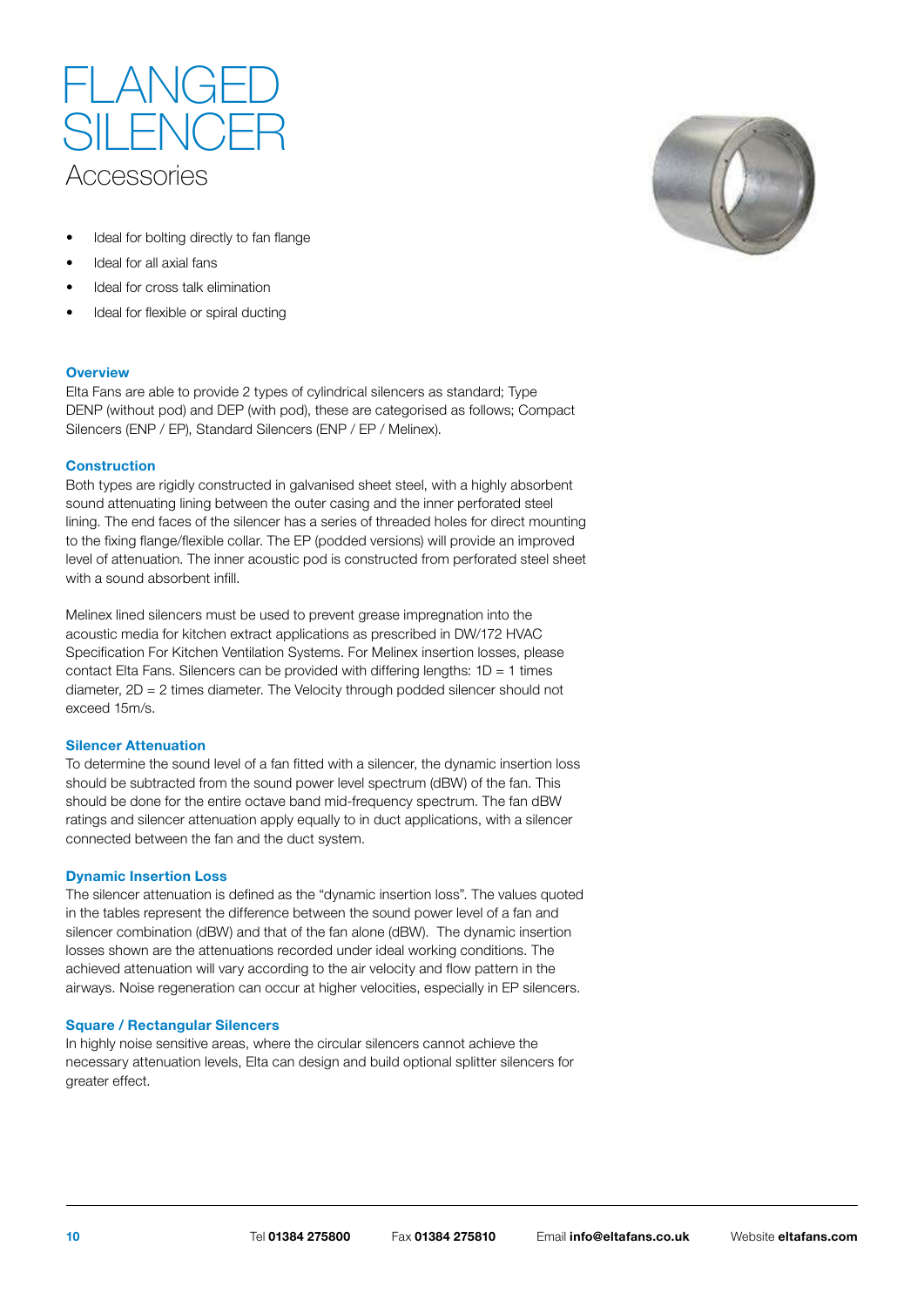

- Ideal for bolting directly to fan flange
- Ideal for all axial fans
- Ideal for cross talk elimination
- Ideal for flexible or spiral ducting

#### **Overview**

Elta Fans are able to provide 2 types of cylindrical silencers as standard; Type DENP (without pod) and DEP (with pod), these are categorised as follows; Compact Silencers (ENP / EP), Standard Silencers (ENP / EP / Melinex).

#### **Construction**

Both types are rigidly constructed in galvanised sheet steel, with a highly absorbent sound attenuating lining between the outer casing and the inner perforated steel lining. The end faces of the silencer has a series of threaded holes for direct mounting to the fixing flange/flexible collar. The EP (podded versions) will provide an improved level of attenuation. The inner acoustic pod is constructed from perforated steel sheet with a sound absorbent infill.

Melinex lined silencers must be used to prevent grease impregnation into the acoustic media for kitchen extract applications as prescribed in DW/172 HVAC Specification For Kitchen Ventilation Systems. For Melinex insertion losses, please contact Elta Fans. Silencers can be provided with differing lengths:  $1D = 1$  times diameter, 2D = 2 times diameter. The Velocity through podded silencer should not exceed 15m/s.

#### **Silencer Attenuation**

To determine the sound level of a fan fitted with a silencer, the dynamic insertion loss should be subtracted from the sound power level spectrum (dBW) of the fan. This should be done for the entire octave band mid-frequency spectrum. The fan dBW ratings and silencer attenuation apply equally to in duct applications, with a silencer connected between the fan and the duct system.

#### **Dynamic Insertion Loss**

The silencer attenuation is defined as the "dynamic insertion loss". The values quoted in the tables represent the difference between the sound power level of a fan and silencer combination (dBW) and that of the fan alone (dBW). The dynamic insertion losses shown are the attenuations recorded under ideal working conditions. The achieved attenuation will vary according to the air velocity and flow pattern in the airways. Noise regeneration can occur at higher velocities, especially in EP silencers.

#### **Square / Rectangular Silencers**

In highly noise sensitive areas, where the circular silencers cannot achieve the necessary attenuation levels, Elta can design and build optional splitter silencers for greater effect.

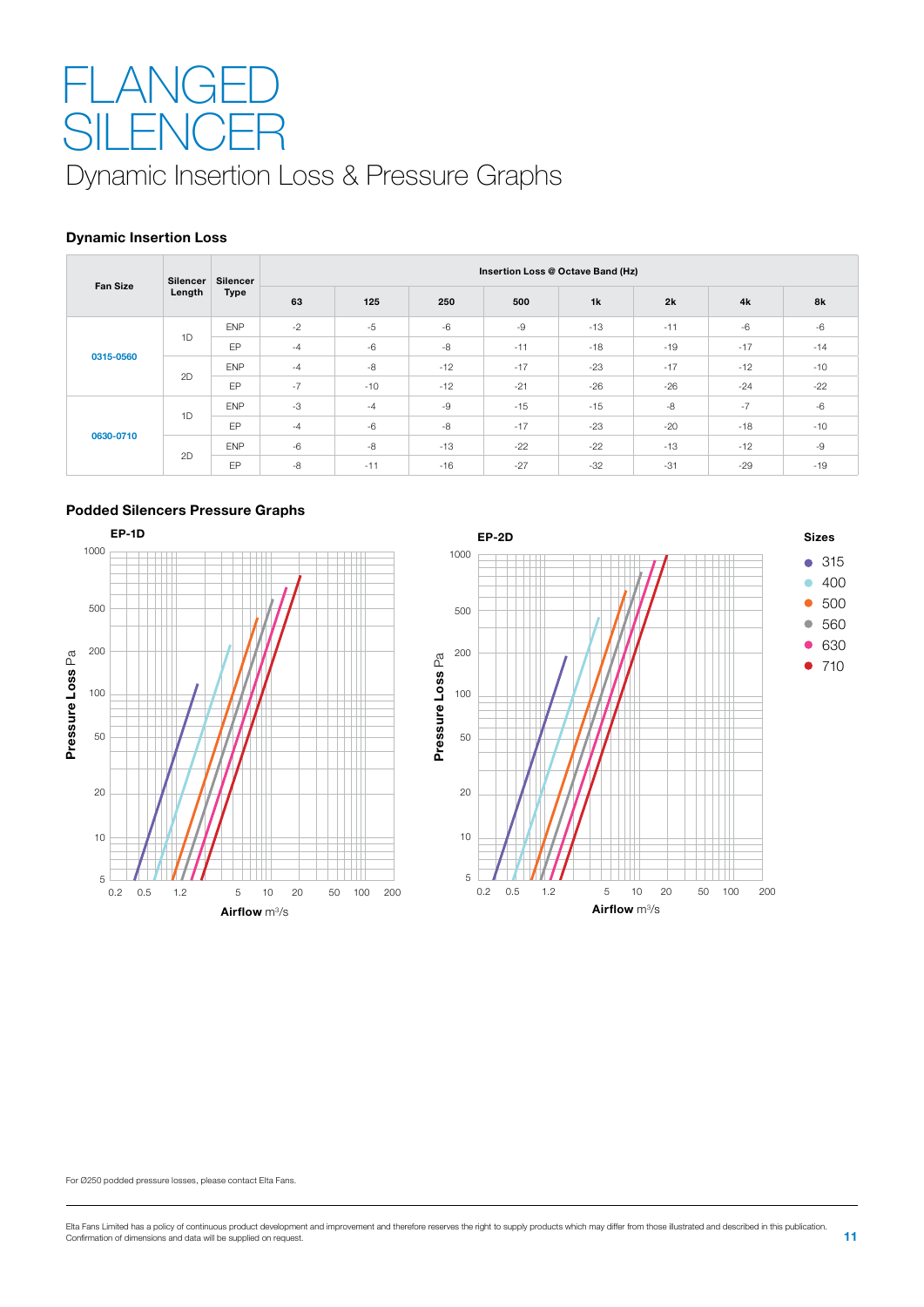## Dynamic Insertion Loss & Pressure Graphs -l Al **SILENCER**

#### **Dynamic Insertion Loss**

| <b>Fan Size</b> | Silencer        | <b>Silencer</b> | Insertion Loss @ Octave Band (Hz) |       |       |       |       |       |       |       |  |  |
|-----------------|-----------------|-----------------|-----------------------------------|-------|-------|-------|-------|-------|-------|-------|--|--|
|                 | Length          | <b>Type</b>     | 63                                | 125   | 250   | 500   | 1k    | 2k    | 4k    | 8k    |  |  |
|                 |                 | <b>ENP</b>      | $-2$                              | $-5$  | $-6$  | $-9$  | $-13$ | $-11$ | $-6$  | $-6$  |  |  |
| 1D              |                 | EP              | $-4$                              | $-6$  | $-8$  | $-11$ | $-18$ | $-19$ | $-17$ | $-14$ |  |  |
| 0315-0560       |                 | <b>ENP</b>      | $-4$                              | $-8$  | $-12$ | $-17$ | $-23$ | $-17$ | $-12$ | $-10$ |  |  |
|                 | 2D              | EP              | $-7$                              | $-10$ | $-12$ | $-21$ | $-26$ | $-26$ | $-24$ | $-22$ |  |  |
|                 |                 | <b>ENP</b>      | $-3$                              | $-4$  | $-9$  | $-15$ | $-15$ | $-8$  | $-7$  | $-6$  |  |  |
|                 | 1D              | EP              | $-4$                              | $-6$  | $-8$  | $-17$ | $-23$ | $-20$ | $-18$ | $-10$ |  |  |
|                 | 0630-0710<br>2D | <b>ENP</b>      | $-6$                              | $-8$  | $-13$ | $-22$ | $-22$ | $-13$ | $-12$ | $-9$  |  |  |
|                 |                 | EP              | $-8$                              | $-11$ | $-16$ | $-27$ | $-32$ | $-31$ | $-29$ | $-19$ |  |  |







For Ø250 podded pressure losses, please contact Elta Fans.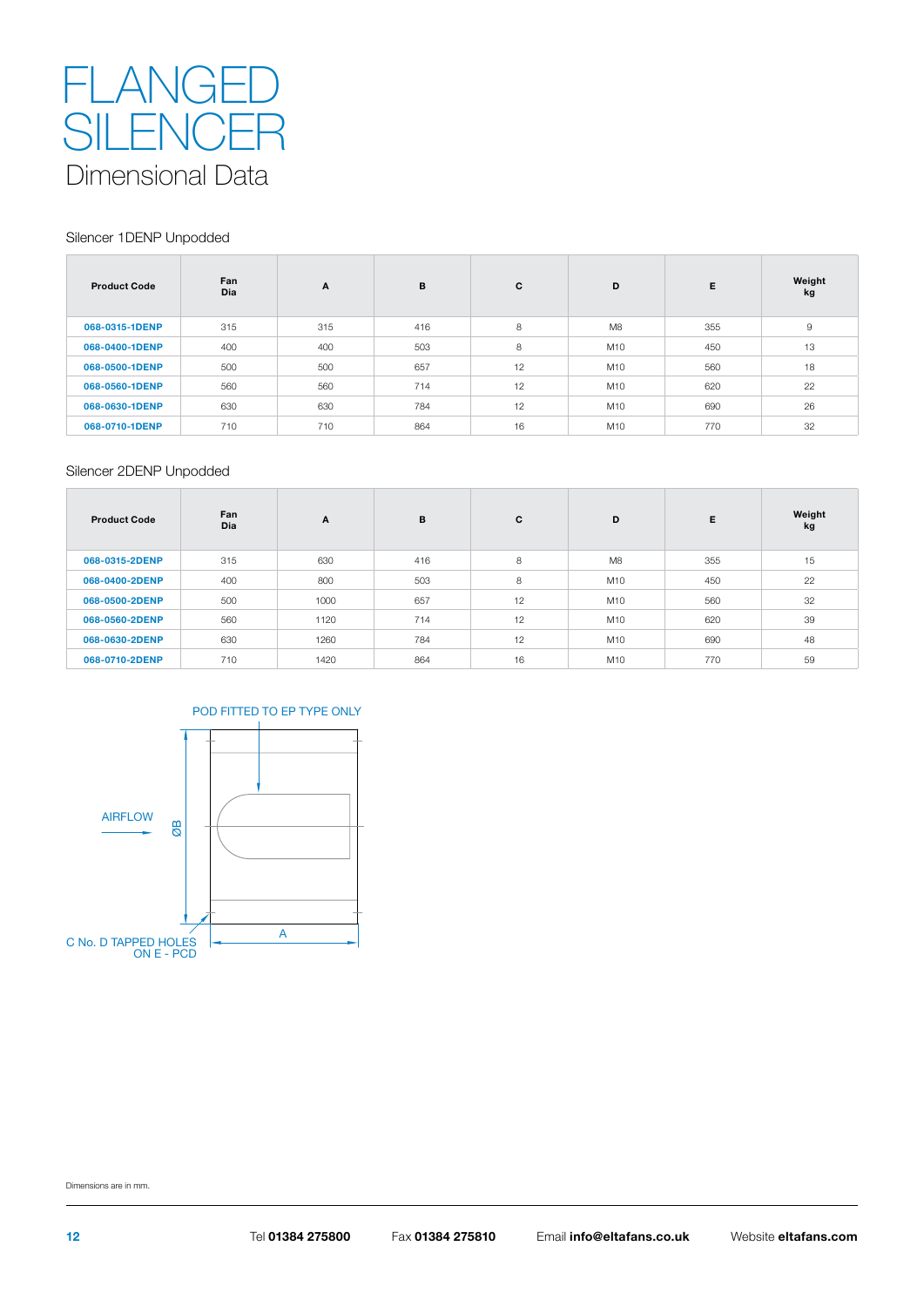

#### Silencer 1DENP Unpodded

| <b>Product Code</b> | Fan<br><b>Dia</b> | A   | в   | C  | D   | E.  | Weight<br>kg |
|---------------------|-------------------|-----|-----|----|-----|-----|--------------|
| 068-0315-1DENP      | 315               | 315 | 416 | 8  | M8  | 355 | 9            |
| 068-0400-1DENP      | 400               | 400 | 503 | 8  | M10 | 450 | 13           |
| 068-0500-1DENP      | 500               | 500 | 657 | 12 | M10 | 560 | 18           |
| 068-0560-1DENP      | 560               | 560 | 714 | 12 | M10 | 620 | 22           |
| 068-0630-1DENP      | 630               | 630 | 784 | 12 | M10 | 690 | 26           |
| 068-0710-1DENP      | 710               | 710 | 864 | 16 | M10 | 770 | 32           |

#### Silencer 2DENP Unpodded

| <b>Product Code</b> | Fan<br><b>Dia</b> | A    | B   | C  | D              | E   | Weight<br>kg |
|---------------------|-------------------|------|-----|----|----------------|-----|--------------|
| 068-0315-2DENP      | 315               | 630  | 416 | 8  | M <sub>8</sub> | 355 | 15           |
| 068-0400-2DENP      | 400               | 800  | 503 | 8  | M10            | 450 | 22           |
| 068-0500-2DENP      | 500               | 1000 | 657 | 12 | M10            | 560 | 32           |
| 068-0560-2DENP      | 560               | 1120 | 714 | 12 | M10            | 620 | 39           |
| 068-0630-2DENP      | 630               | 1260 | 784 | 12 | M10            | 690 | 48           |
| 068-0710-2DENP      | 710               | 1420 | 864 | 16 | M10            | 770 | 59           |

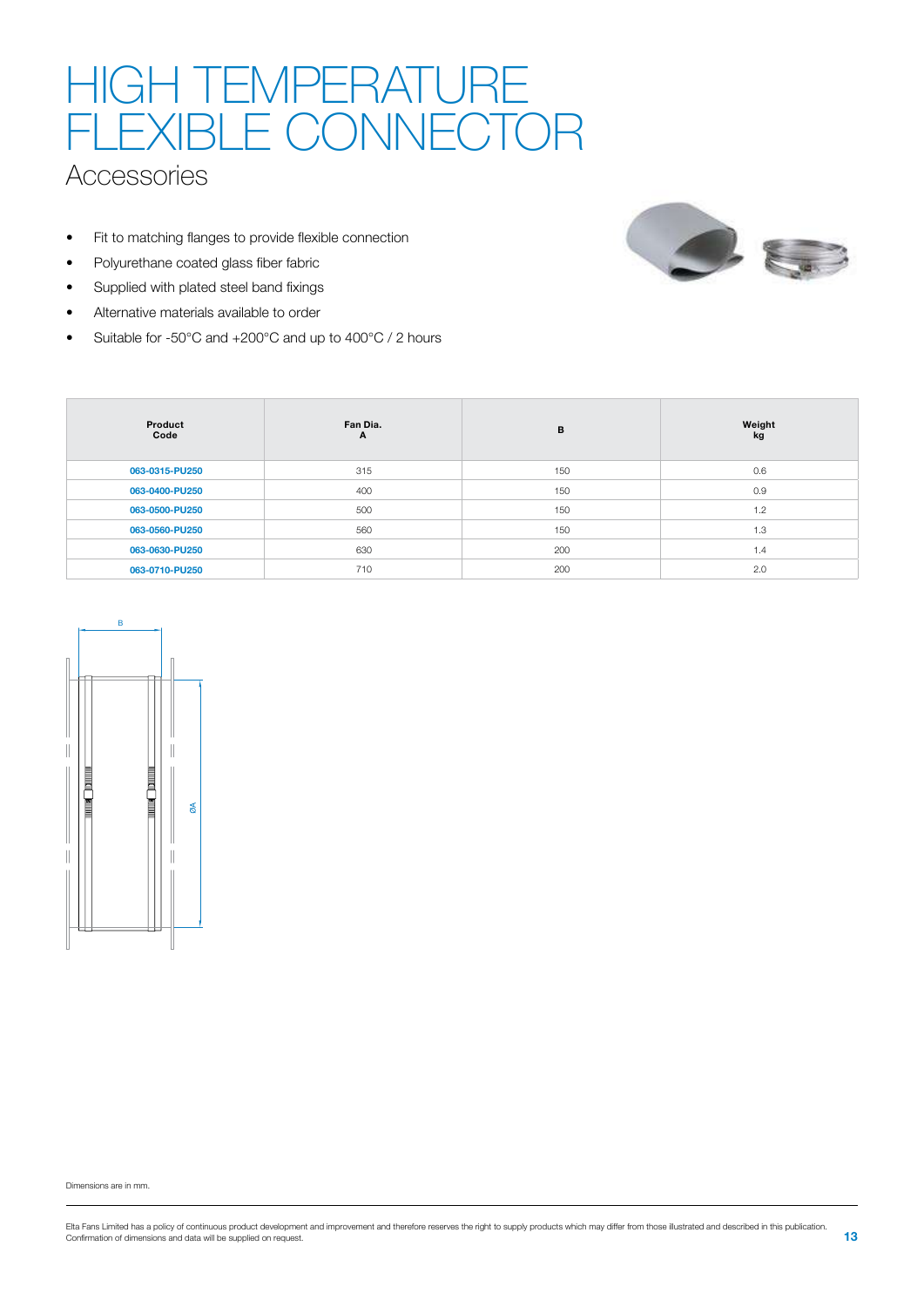# HIGH TEMPERATURE FLEXIBLE CONNECTOR

### **Accessories**

- Fit to matching flanges to provide flexible connection
- Polyurethane coated glass fiber fabric
- Supplied with plated steel band fixings
- Alternative materials available to order
- Suitable for -50°C and +200°C and up to 400°C / 2 hours







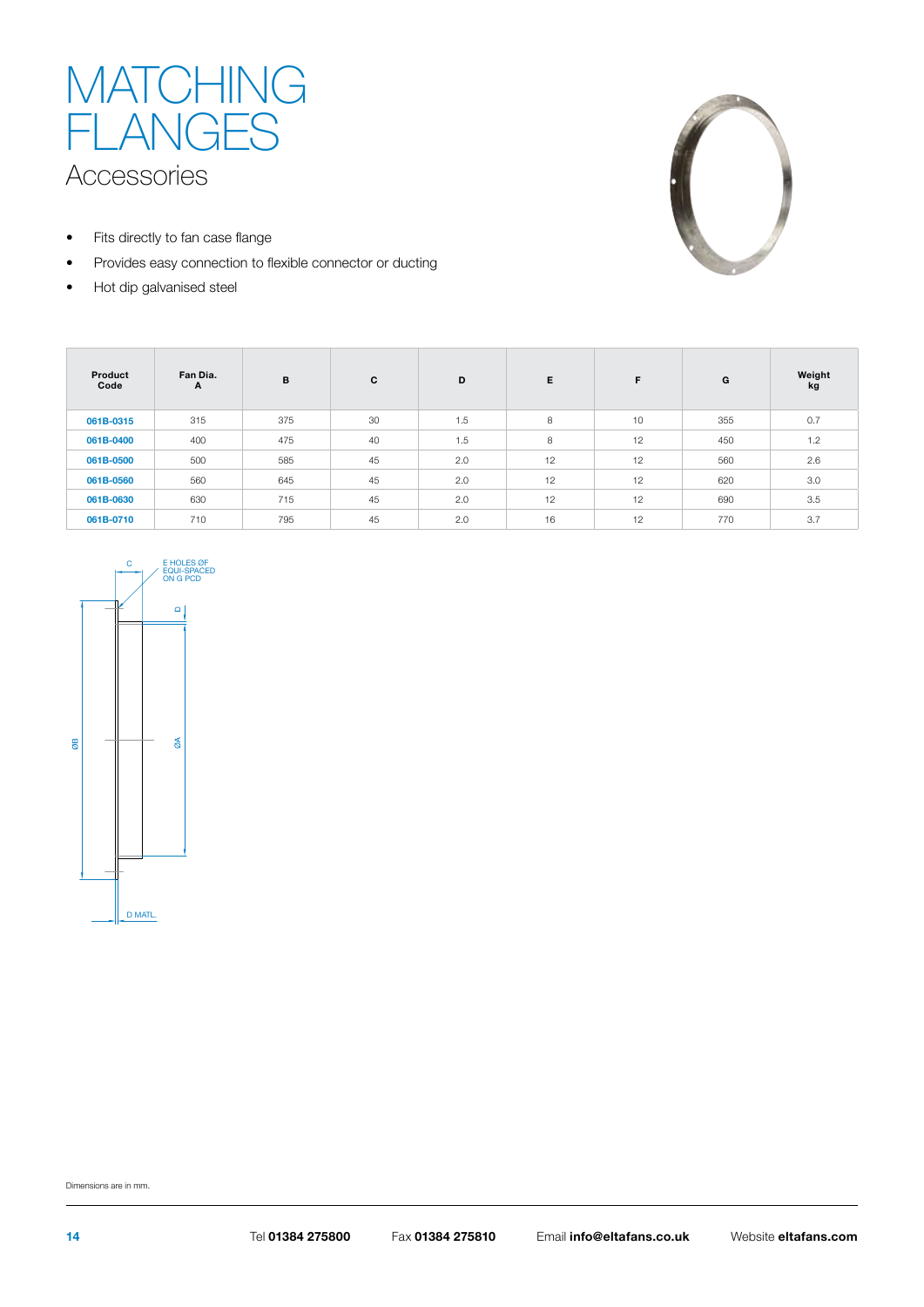

- Fits directly to fan case flange
- Provides easy connection to flexible connector or ducting
- Hot dip galvanised steel



| Product<br>Code | Fan Dia.<br>A | B   | C  | D   | Е  | F. | G   | Weight<br>kg |
|-----------------|---------------|-----|----|-----|----|----|-----|--------------|
| 061B-0315       | 315           | 375 | 30 | 1.5 | 8  | 10 | 355 | 0.7          |
| 061B-0400       | 400           | 475 | 40 | 1.5 | 8  | 12 | 450 | 1.2          |
| 061B-0500       | 500           | 585 | 45 | 2.0 | 12 | 12 | 560 | 2.6          |
| 061B-0560       | 560           | 645 | 45 | 2.0 | 12 | 12 | 620 | 3.0          |
| 061B-0630       | 630           | 715 | 45 | 2.0 | 12 | 12 | 690 | 3.5          |
| 061B-0710       | 710           | 795 | 45 | 2.0 | 16 | 12 | 770 | 3.7          |

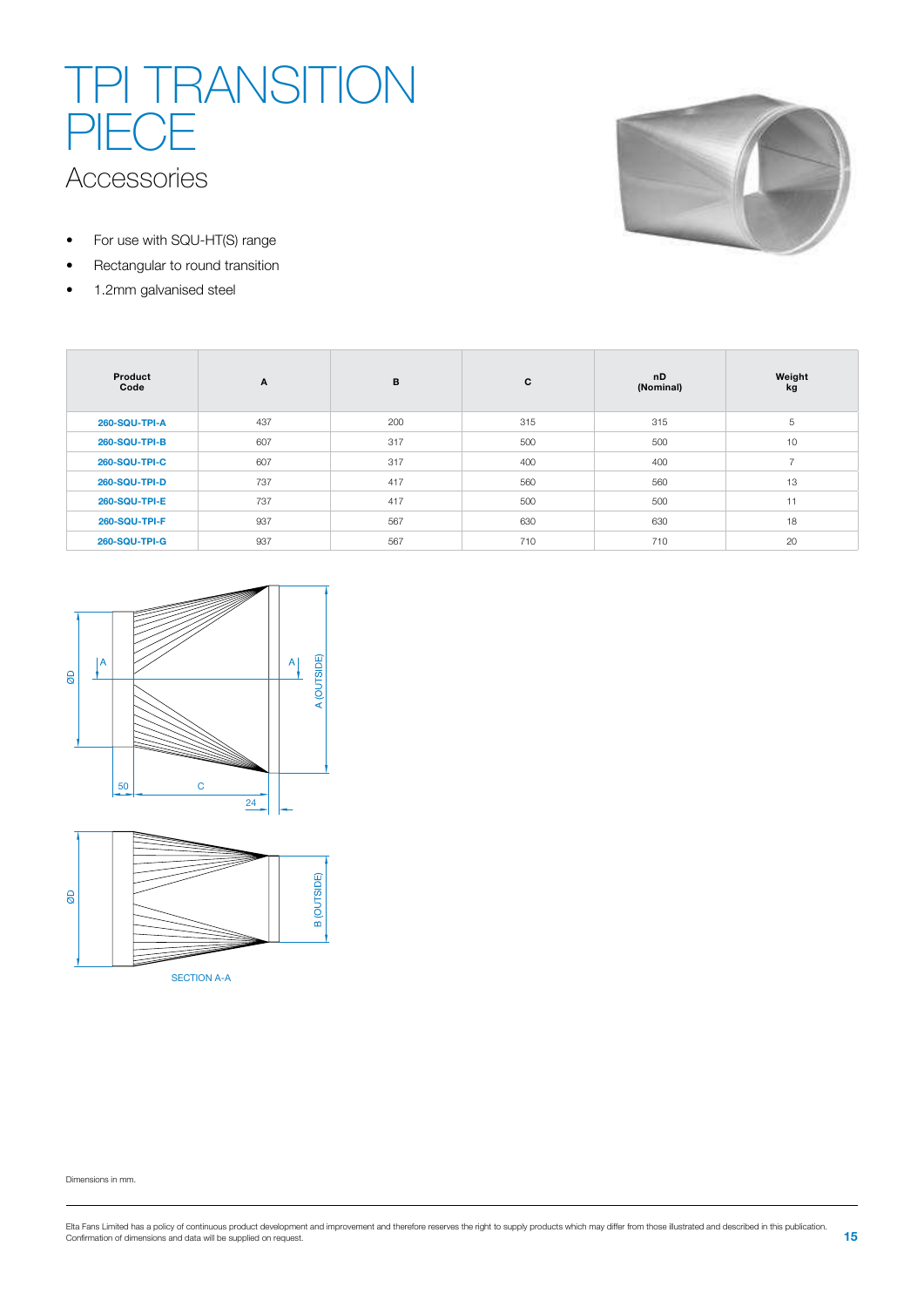## Accessories TPI TRANSITION PIECE

- For use with SQU-HT(S) range
- Rectangular to round transition
- 1.2mm galvanised steel



| Product<br>Code      | $\mathbf{A}$ | B   | C   | nD<br>(Nominal) | Weight<br>kg |
|----------------------|--------------|-----|-----|-----------------|--------------|
| <b>260-SQU-TPI-A</b> | 437          | 200 | 315 | 315             | 5            |
| 260-SQU-TPI-B        | 607          | 317 | 500 | 500             | 10           |
| <b>260-SQU-TPI-C</b> | 607          | 317 | 400 | 400             | 7            |
| 260-SQU-TPI-D        | 737          | 417 | 560 | 560             | 13           |
| 260-SQU-TPI-E        | 737          | 417 | 500 | 500             | 11           |
| 260-SQU-TPI-F        | 937          | 567 | 630 | 630             | 18           |
| 260-SQU-TPI-G        | 937          | 567 | 710 | 710             | 20           |





SECTION A-A

Dimensions in mm.

Elta Fans Limited has a policy of continuous product development and improvement and therefore reserves the right to supply products which may differ from those illustrated and described in this publication.<br>Confirmation o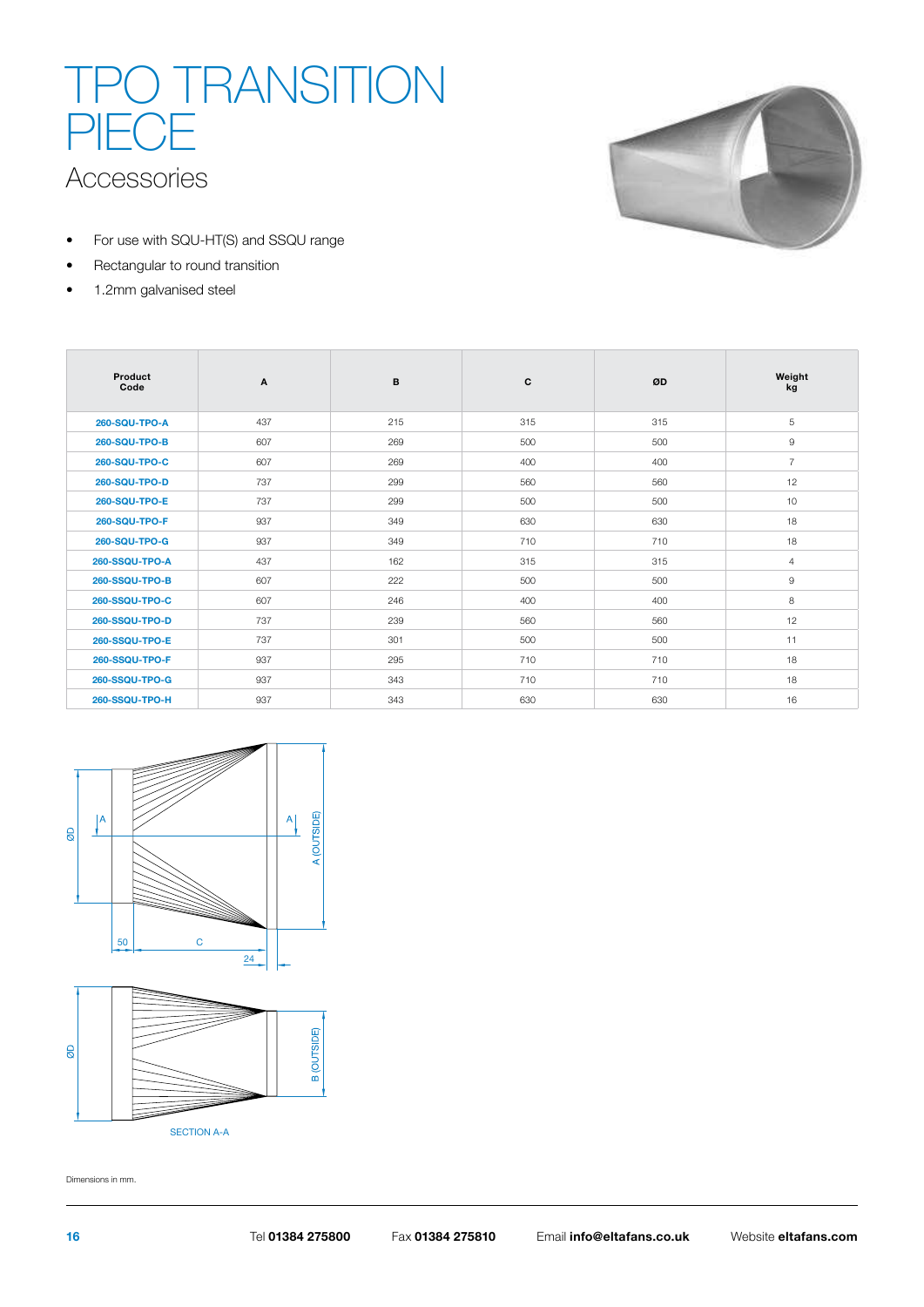# Accessories TPO TRANSITION PIECE



- For use with SQU-HT(S) and SSQU range
- Rectangular to round transition
- 1.2mm galvanised steel

| Product<br>Code       | A   | B   | C   | ØD  | Weight<br>kg   |
|-----------------------|-----|-----|-----|-----|----------------|
| 260-SQU-TPO-A         | 437 | 215 | 315 | 315 | 5              |
| 260-SQU-TPO-B         | 607 | 269 | 500 | 500 | 9              |
| <b>260-SQU-TPO-C</b>  | 607 | 269 | 400 | 400 | $\overline{7}$ |
| 260-SQU-TPO-D         | 737 | 299 | 560 | 560 | 12             |
| 260-SQU-TPO-E         | 737 | 299 | 500 | 500 | 10             |
| 260-SQU-TPO-F         | 937 | 349 | 630 | 630 | 18             |
| 260-SQU-TPO-G         | 937 | 349 | 710 | 710 | 18             |
| 260-SSQU-TPO-A        | 437 | 162 | 315 | 315 | $\overline{4}$ |
| <b>260-SSQU-TPO-B</b> | 607 | 222 | 500 | 500 | $\overline{9}$ |
| 260-SSQU-TPO-C        | 607 | 246 | 400 | 400 | 8              |
| 260-SSQU-TPO-D        | 737 | 239 | 560 | 560 | 12             |
| 260-SSQU-TPO-E        | 737 | 301 | 500 | 500 | 11             |
| 260-SSQU-TPO-F        | 937 | 295 | 710 | 710 | 18             |
| 260-SSQU-TPO-G        | 937 | 343 | 710 | 710 | 18             |
| 260-SSQU-TPO-H        | 937 | 343 | 630 | 630 | 16             |





Dimensions in mm.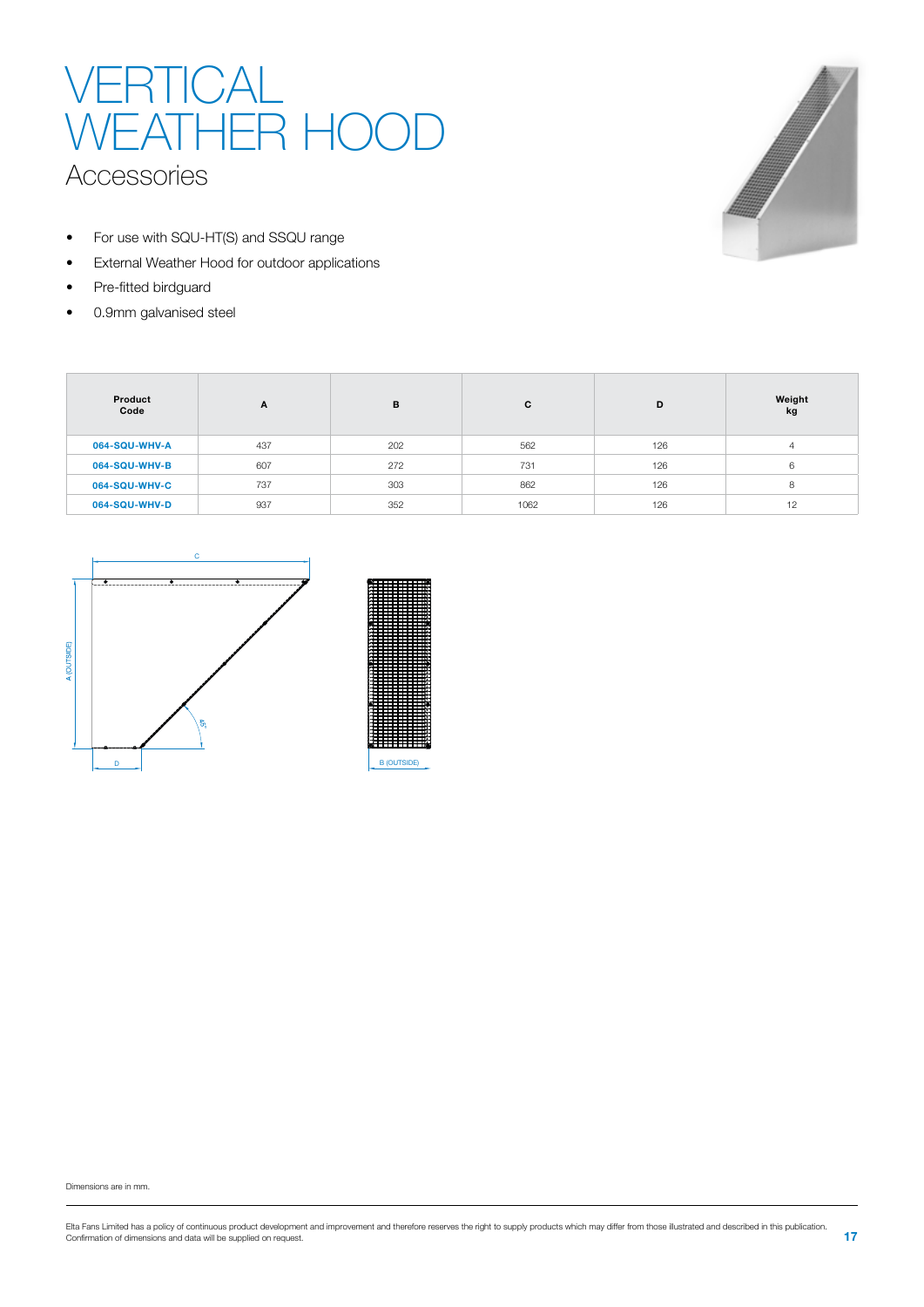## VERTICAL WEATHER HOOD Accessories

- For use with SQU-HT(S) and SSQU range
- External Weather Hood for outdoor applications
- Pre-fitted birdguard
- 0.9mm galvanised steel



| Product<br>Code | A   | B   | C    | D   | Weight<br>kg |
|-----------------|-----|-----|------|-----|--------------|
| 064-SQU-WHV-A   | 437 | 202 | 562  | 126 | 4            |
| 064-SQU-WHV-B   | 607 | 272 | 731  | 126 | 6            |
| 064-SQU-WHV-C   | 737 | 303 | 862  | 126 | 8            |
| 064-SQU-WHV-D   | 937 | 352 | 1062 | 126 | 12           |

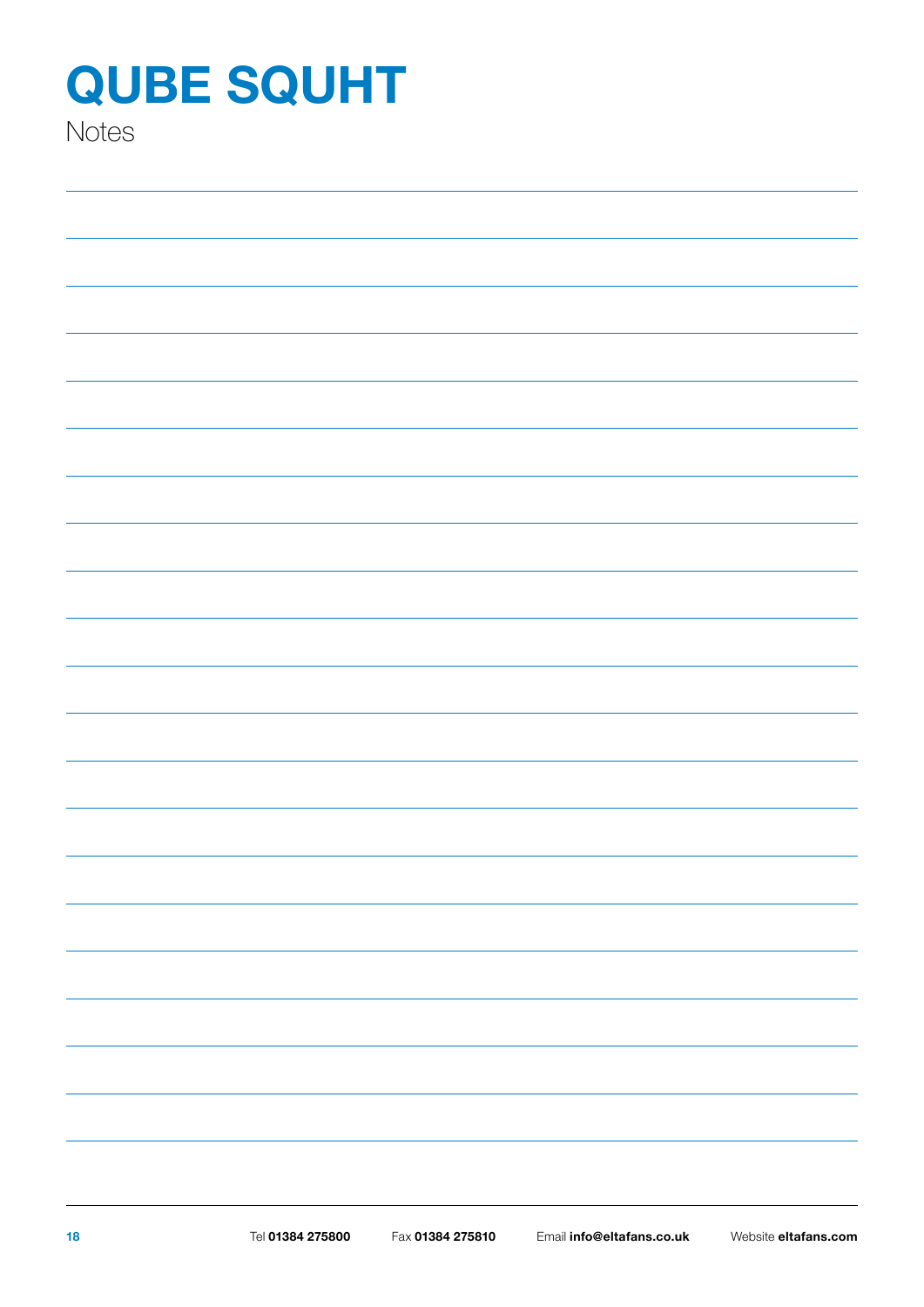**Notes**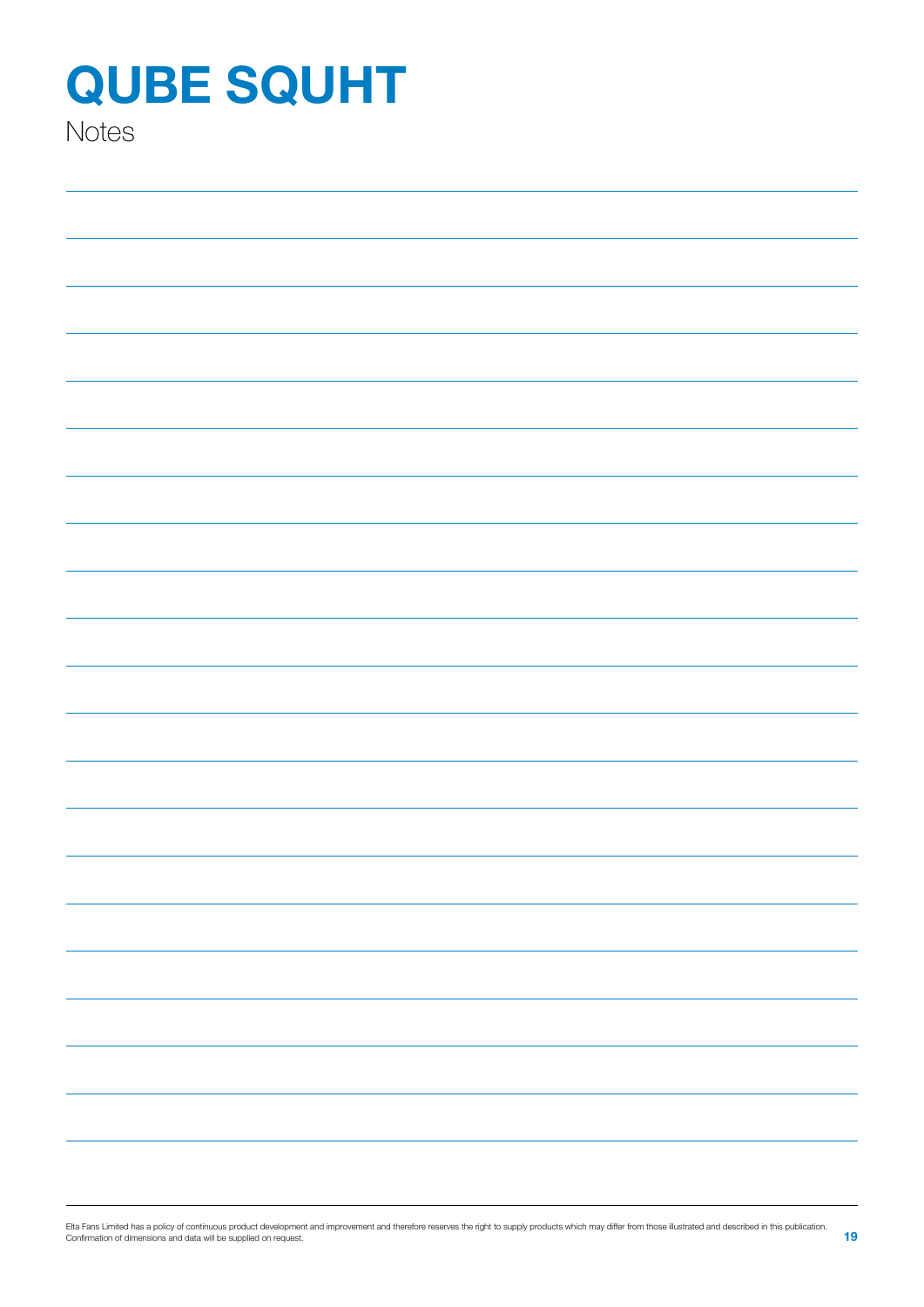**Notes**